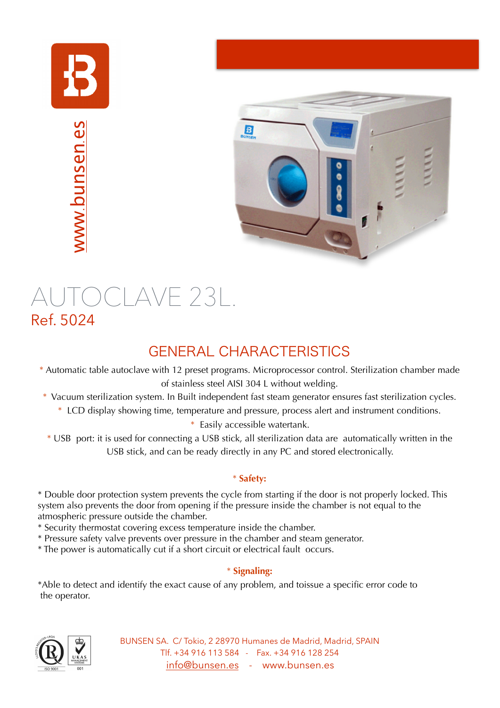

www.[bunsen](http://www.bunsen.es).es



# AUTOCLAVE 23L.<br>Ref. 5024

## GENERAL CHARACTERISTICS

- \* Automatic table autoclave with 12 preset programs. Microprocessor control. Sterilization chamber made of stainless steel AISI 304 L without welding.
- \* Vacuum sterilization system. In Built independent fast steam generator ensures fast sterilization cycles.
	- \* LCD display showing time, temperature and pressure, process alert and instrument conditions.

\* Easily accessible watertank.

\* USB port: it is used for connecting a USB stick, all sterilization data are automatically written in the USB stick, and can be ready directly in any PC and stored electronically.

### \* **Safety:**

\* Double door protection system prevents the cycle from starting if the door is not properly locked. This system also prevents the door from opening if the pressure inside the chamber is not equal to the atmospheric pressure outside the chamber.

- \* Security thermostat covering excess temperature inside the chamber.
- \* Pressure safety valve prevents over pressure in the chamber and steam generator.
- \* The power is automatically cut if a short circuit or electrical fault occurs.

### \* **Signaling:**

\*Able to detect and identify the exact cause of any problem, and toissue a specific error code to the operator.



BUNSEN SA. C/ Tokio, 2 28970 Humanes de Madrid, Madrid, SPAIN Tlf. +34 916 113 584 - Fax. +34 916 128 254 [info@bunsen.es](mailto:info@bunsen.es) - www.bunsen.es